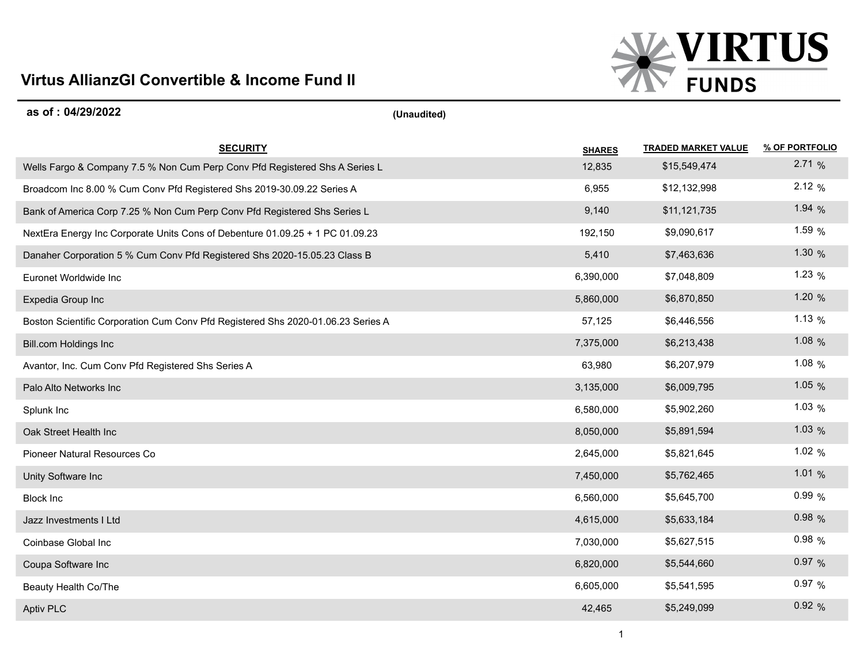

## **as of : 04/29/2022 (Unaudited)**

| <b>SECURITY</b>                                                                  | <b>SHARES</b> | <b>TRADED MARKET VALUE</b> | % OF PORTFOLIO |
|----------------------------------------------------------------------------------|---------------|----------------------------|----------------|
| Wells Fargo & Company 7.5 % Non Cum Perp Conv Pfd Registered Shs A Series L      | 12,835        | \$15,549,474               | 2.71%          |
| Broadcom Inc 8.00 % Cum Conv Pfd Registered Shs 2019-30.09.22 Series A           | 6,955         | \$12,132,998               | 2.12%          |
| Bank of America Corp 7.25 % Non Cum Perp Conv Pfd Registered Shs Series L        | 9,140         | \$11,121,735               | 1.94 $%$       |
| NextEra Energy Inc Corporate Units Cons of Debenture 01.09.25 + 1 PC 01.09.23    | 192,150       | \$9,090,617                | 1.59 $%$       |
| Danaher Corporation 5 % Cum Conv Pfd Registered Shs 2020-15.05.23 Class B        | 5,410         | \$7,463,636                | 1.30 $%$       |
| Euronet Worldwide Inc                                                            | 6,390,000     | \$7,048,809                | 1.23 $%$       |
| Expedia Group Inc                                                                | 5,860,000     | \$6,870,850                | 1.20 $%$       |
| Boston Scientific Corporation Cum Conv Pfd Registered Shs 2020-01.06.23 Series A | 57,125        | \$6,446,556                | 1.13 $%$       |
| Bill.com Holdings Inc                                                            | 7,375,000     | \$6,213,438                | 1.08 $%$       |
| Avantor, Inc. Cum Conv Pfd Registered Shs Series A                               | 63,980        | \$6,207,979                | 1.08%          |
| Palo Alto Networks Inc                                                           | 3,135,000     | \$6,009,795                | 1.05 $%$       |
| Splunk Inc                                                                       | 6,580,000     | \$5,902,260                | 1.03%          |
| Oak Street Health Inc                                                            | 8,050,000     | \$5,891,594                | 1.03%          |
| Pioneer Natural Resources Co                                                     | 2,645,000     | \$5,821,645                | 1.02 $%$       |
| Unity Software Inc                                                               | 7,450,000     | \$5,762,465                | 1.01%          |
| <b>Block Inc</b>                                                                 | 6,560,000     | \$5,645,700                | 0.99%          |
| Jazz Investments I Ltd                                                           | 4,615,000     | \$5,633,184                | 0.98%          |
| Coinbase Global Inc                                                              | 7,030,000     | \$5,627,515                | 0.98%          |
| Coupa Software Inc                                                               | 6,820,000     | \$5,544,660                | 0.97%          |
| Beauty Health Co/The                                                             | 6,605,000     | \$5,541,595                | 0.97%          |
| <b>Aptiv PLC</b>                                                                 | 42,465        | \$5,249,099                | 0.92%          |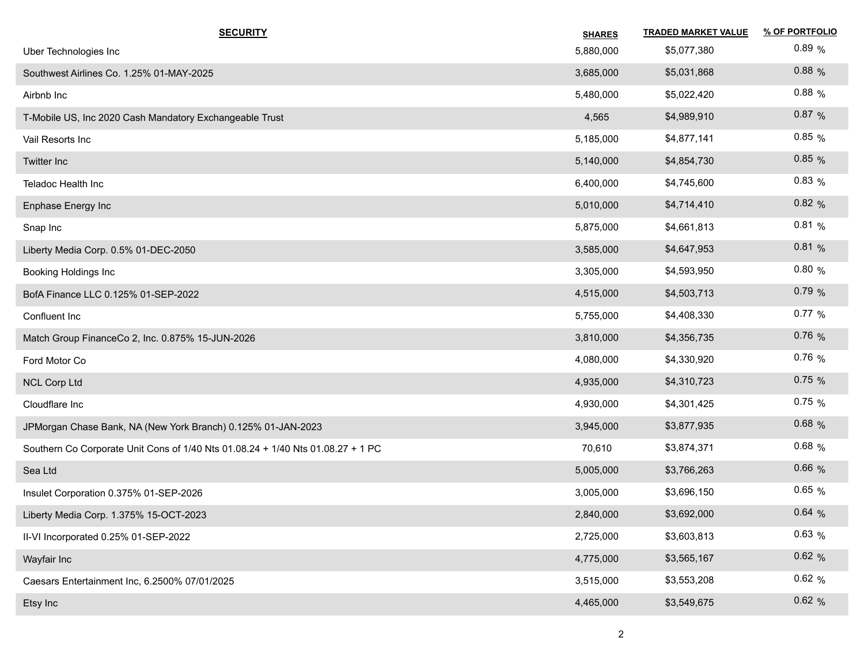| <b>SECURITY</b>                                                                 | <b>SHARES</b> | <b>TRADED MARKET VALUE</b> | % OF PORTFOLIO |
|---------------------------------------------------------------------------------|---------------|----------------------------|----------------|
| Uber Technologies Inc                                                           | 5,880,000     | \$5,077,380                | 0.89%          |
| Southwest Airlines Co. 1.25% 01-MAY-2025                                        | 3,685,000     | \$5,031,868                | $0.88\%$       |
| Airbnb Inc                                                                      | 5,480,000     | \$5,022,420                | $0.88\%$       |
| T-Mobile US, Inc 2020 Cash Mandatory Exchangeable Trust                         | 4,565         | \$4,989,910                | 0.87%          |
| Vail Resorts Inc                                                                | 5,185,000     | \$4,877,141                | 0.85%          |
| <b>Twitter Inc</b>                                                              | 5,140,000     | \$4,854,730                | 0.85%          |
| Teladoc Health Inc                                                              | 6,400,000     | \$4,745,600                | 0.83%          |
| Enphase Energy Inc                                                              | 5,010,000     | \$4,714,410                | 0.82%          |
| Snap Inc                                                                        | 5,875,000     | \$4,661,813                | 0.81%          |
| Liberty Media Corp. 0.5% 01-DEC-2050                                            | 3,585,000     | \$4,647,953                | 0.81%          |
| Booking Holdings Inc                                                            | 3,305,000     | \$4,593,950                | 0.80%          |
| BofA Finance LLC 0.125% 01-SEP-2022                                             | 4,515,000     | \$4,503,713                | 0.79%          |
| Confluent Inc                                                                   | 5,755,000     | \$4,408,330                | $0.77\%$       |
| Match Group FinanceCo 2, Inc. 0.875% 15-JUN-2026                                | 3,810,000     | \$4,356,735                | 0.76%          |
| Ford Motor Co                                                                   | 4,080,000     | \$4,330,920                | $0.76\%$       |
| <b>NCL Corp Ltd</b>                                                             | 4,935,000     | \$4,310,723                | 0.75%          |
| Cloudflare Inc                                                                  | 4,930,000     | \$4,301,425                | 0.75%          |
| JPMorgan Chase Bank, NA (New York Branch) 0.125% 01-JAN-2023                    | 3,945,000     | \$3,877,935                | 0.68%          |
| Southern Co Corporate Unit Cons of 1/40 Nts 01.08.24 + 1/40 Nts 01.08.27 + 1 PC | 70,610        | \$3,874,371                | $0.68\%$       |
| Sea Ltd                                                                         | 5,005,000     | \$3,766,263                | $0.66\%$       |
| Insulet Corporation 0.375% 01-SEP-2026                                          | 3,005,000     | \$3,696,150                | 0.65%          |
| Liberty Media Corp. 1.375% 15-OCT-2023                                          | 2,840,000     | \$3,692,000                | 0.64%          |
| II-VI Incorporated 0.25% 01-SEP-2022                                            | 2,725,000     | \$3,603,813                | $0.63\%$       |
| Wayfair Inc                                                                     | 4,775,000     | \$3,565,167                | 0.62%          |
| Caesars Entertainment Inc, 6.2500% 07/01/2025                                   | 3,515,000     | \$3,553,208                | 0.62%          |
| Etsy Inc                                                                        | 4,465,000     | \$3,549,675                | 0.62%          |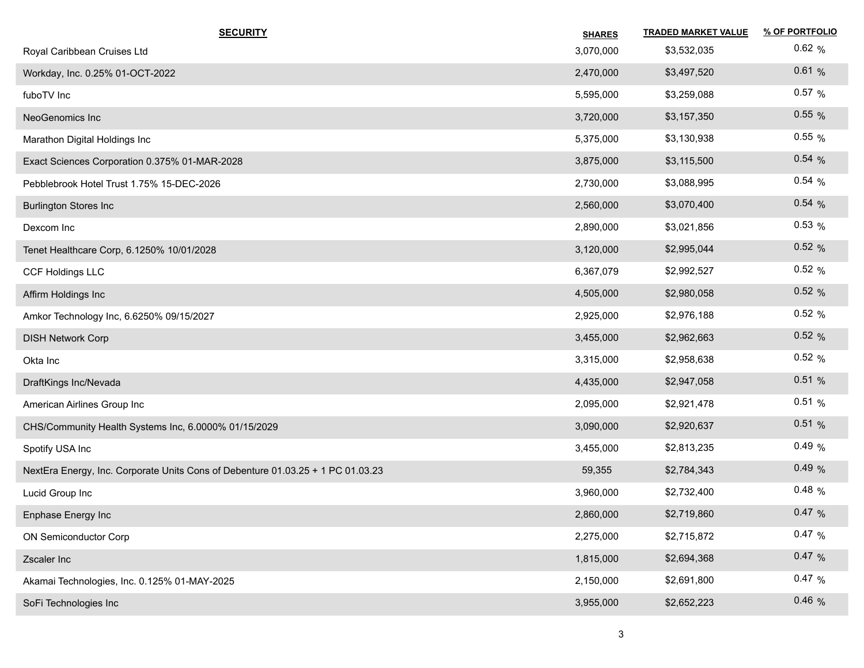| <b>SECURITY</b>                                                                 | <b>SHARES</b> | <b>TRADED MARKET VALUE</b> | % OF PORTFOLIO |
|---------------------------------------------------------------------------------|---------------|----------------------------|----------------|
| Royal Caribbean Cruises Ltd                                                     | 3,070,000     | \$3,532,035                | 0.62%          |
| Workday, Inc. 0.25% 01-OCT-2022                                                 | 2,470,000     | \$3,497,520                | 0.61%          |
| fuboTV Inc                                                                      | 5,595,000     | \$3,259,088                | $0.57\%$       |
| NeoGenomics Inc                                                                 | 3,720,000     | \$3,157,350                | $0.55\%$       |
| Marathon Digital Holdings Inc                                                   | 5,375,000     | \$3,130,938                | $0.55\%$       |
| Exact Sciences Corporation 0.375% 01-MAR-2028                                   | 3,875,000     | \$3,115,500                | 0.54%          |
| Pebblebrook Hotel Trust 1.75% 15-DEC-2026                                       | 2,730,000     | \$3,088,995                | 0.54%          |
| <b>Burlington Stores Inc</b>                                                    | 2,560,000     | \$3,070,400                | 0.54%          |
| Dexcom Inc                                                                      | 2,890,000     | \$3,021,856                | $0.53\%$       |
| Tenet Healthcare Corp, 6.1250% 10/01/2028                                       | 3,120,000     | \$2,995,044                | 0.52%          |
| <b>CCF Holdings LLC</b>                                                         | 6,367,079     | \$2,992,527                | 0.52%          |
| Affirm Holdings Inc                                                             | 4,505,000     | \$2,980,058                | 0.52%          |
| Amkor Technology Inc, 6.6250% 09/15/2027                                        | 2,925,000     | \$2,976,188                | 0.52%          |
| <b>DISH Network Corp</b>                                                        | 3,455,000     | \$2,962,663                | 0.52%          |
| Okta Inc                                                                        | 3,315,000     | \$2,958,638                | 0.52%          |
| DraftKings Inc/Nevada                                                           | 4,435,000     | \$2,947,058                | 0.51%          |
| American Airlines Group Inc                                                     | 2,095,000     | \$2,921,478                | 0.51%          |
| CHS/Community Health Systems Inc, 6.0000% 01/15/2029                            | 3,090,000     | \$2,920,637                | 0.51%          |
| Spotify USA Inc                                                                 | 3,455,000     | \$2,813,235                | 0.49%          |
| NextEra Energy, Inc. Corporate Units Cons of Debenture 01.03.25 + 1 PC 01.03.23 | 59,355        | \$2,784,343                | 0.49%          |
| Lucid Group Inc                                                                 | 3,960,000     | \$2,732,400                | 0.48%          |
| Enphase Energy Inc                                                              | 2,860,000     | \$2,719,860                | 0.47%          |
| ON Semiconductor Corp                                                           | 2,275,000     | \$2,715,872                | 0.47%          |
| Zscaler Inc                                                                     | 1,815,000     | \$2,694,368                | 0.47%          |
| Akamai Technologies, Inc. 0.125% 01-MAY-2025                                    | 2,150,000     | \$2,691,800                | 0.47%          |
| SoFi Technologies Inc                                                           | 3,955,000     | \$2,652,223                | 0.46%          |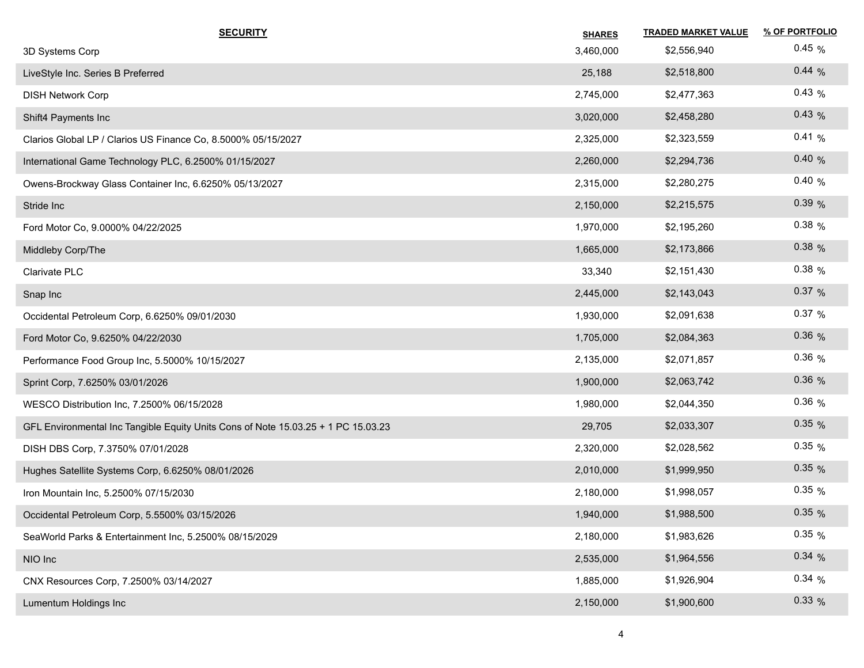| <b>SECURITY</b>                                                                   | <b>SHARES</b> | <b>TRADED MARKET VALUE</b> | % OF PORTFOLIO |
|-----------------------------------------------------------------------------------|---------------|----------------------------|----------------|
| 3D Systems Corp                                                                   | 3,460,000     | \$2,556,940                | 0.45%          |
| LiveStyle Inc. Series B Preferred                                                 | 25,188        | \$2,518,800                | 0.44%          |
| <b>DISH Network Corp</b>                                                          | 2,745,000     | \$2,477,363                | 0.43%          |
| Shift4 Payments Inc                                                               | 3,020,000     | \$2,458,280                | 0.43%          |
| Clarios Global LP / Clarios US Finance Co, 8.5000% 05/15/2027                     | 2,325,000     | \$2,323,559                | 0.41%          |
| International Game Technology PLC, 6.2500% 01/15/2027                             | 2,260,000     | \$2,294,736                | 0.40%          |
| Owens-Brockway Glass Container Inc, 6.6250% 05/13/2027                            | 2,315,000     | \$2,280,275                | 0.40%          |
| Stride Inc                                                                        | 2,150,000     | \$2,215,575                | 0.39%          |
| Ford Motor Co, 9.0000% 04/22/2025                                                 | 1,970,000     | \$2,195,260                | $0.38\%$       |
| Middleby Corp/The                                                                 | 1,665,000     | \$2,173,866                | $0.38\%$       |
| Clarivate PLC                                                                     | 33,340        | \$2,151,430                | $0.38\%$       |
| Snap Inc                                                                          | 2,445,000     | \$2,143,043                | 0.37%          |
| Occidental Petroleum Corp, 6.6250% 09/01/2030                                     | 1,930,000     | \$2,091,638                | 0.37%          |
| Ford Motor Co, 9.6250% 04/22/2030                                                 | 1,705,000     | \$2,084,363                | 0.36%          |
| Performance Food Group Inc, 5.5000% 10/15/2027                                    | 2,135,000     | \$2,071,857                | 0.36%          |
| Sprint Corp, 7.6250% 03/01/2026                                                   | 1,900,000     | \$2,063,742                | 0.36%          |
| WESCO Distribution Inc, 7.2500% 06/15/2028                                        | 1,980,000     | \$2,044,350                | $0.36\%$       |
| GFL Environmental Inc Tangible Equity Units Cons of Note 15.03.25 + 1 PC 15.03.23 | 29,705        | \$2,033,307                | $0.35\%$       |
| DISH DBS Corp, 7.3750% 07/01/2028                                                 | 2,320,000     | \$2,028,562                | $0.35\%$       |
| Hughes Satellite Systems Corp, 6.6250% 08/01/2026                                 | 2,010,000     | \$1,999,950                | $0.35\%$       |
| Iron Mountain Inc, 5.2500% 07/15/2030                                             | 2,180,000     | \$1,998,057                | $0.35\%$       |
| Occidental Petroleum Corp, 5.5500% 03/15/2026                                     | 1,940,000     | \$1,988,500                | $0.35\%$       |
| SeaWorld Parks & Entertainment Inc, 5.2500% 08/15/2029                            | 2,180,000     | \$1,983,626                | $0.35\%$       |
| NIO Inc                                                                           | 2,535,000     | \$1,964,556                | 0.34%          |
| CNX Resources Corp, 7.2500% 03/14/2027                                            | 1,885,000     | \$1,926,904                | 0.34%          |
| Lumentum Holdings Inc                                                             | 2,150,000     | \$1,900,600                | $0.33\%$       |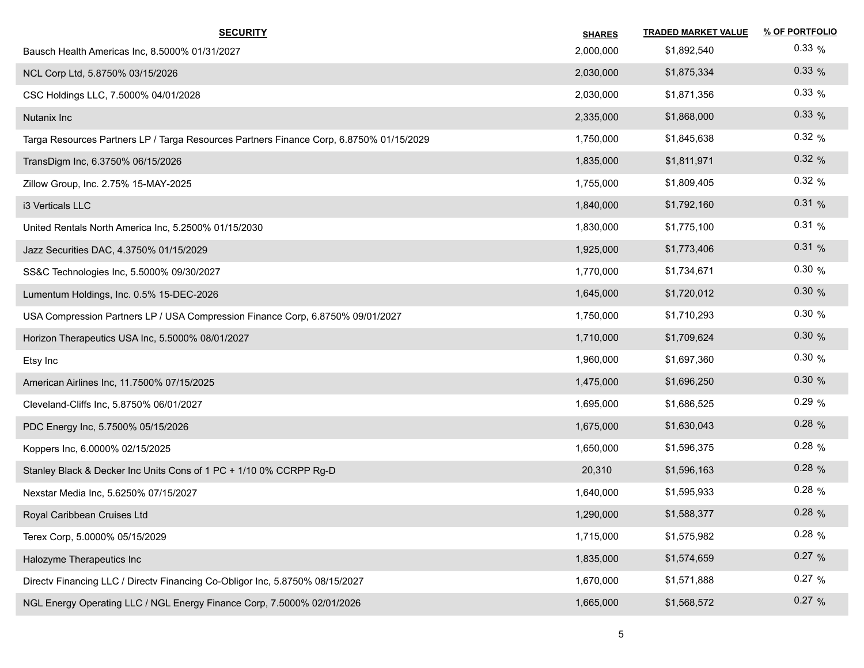| <b>SECURITY</b>                                                                         | <b>SHARES</b> | <b>TRADED MARKET VALUE</b> | % OF PORTFOLIO |
|-----------------------------------------------------------------------------------------|---------------|----------------------------|----------------|
| Bausch Health Americas Inc, 8.5000% 01/31/2027                                          | 2,000,000     | \$1,892,540                | $0.33\%$       |
| NCL Corp Ltd, 5.8750% 03/15/2026                                                        | 2,030,000     | \$1,875,334                | $0.33\%$       |
| CSC Holdings LLC, 7.5000% 04/01/2028                                                    | 2,030,000     | \$1,871,356                | $0.33\%$       |
| Nutanix Inc                                                                             | 2,335,000     | \$1,868,000                | $0.33\%$       |
| Targa Resources Partners LP / Targa Resources Partners Finance Corp, 6.8750% 01/15/2029 | 1,750,000     | \$1,845,638                | 0.32%          |
| TransDigm Inc, 6.3750% 06/15/2026                                                       | 1,835,000     | \$1,811,971                | 0.32%          |
| Zillow Group, Inc. 2.75% 15-MAY-2025                                                    | 1,755,000     | \$1,809,405                | 0.32%          |
| i3 Verticals LLC                                                                        | 1,840,000     | \$1,792,160                | 0.31%          |
| United Rentals North America Inc, 5.2500% 01/15/2030                                    | 1,830,000     | \$1,775,100                | 0.31%          |
| Jazz Securities DAC, 4.3750% 01/15/2029                                                 | 1,925,000     | \$1,773,406                | 0.31%          |
| SS&C Technologies Inc, 5.5000% 09/30/2027                                               | 1,770,000     | \$1,734,671                | 0.30%          |
| Lumentum Holdings, Inc. 0.5% 15-DEC-2026                                                | 1,645,000     | \$1,720,012                | 0.30%          |
| USA Compression Partners LP / USA Compression Finance Corp, 6.8750% 09/01/2027          | 1,750,000     | \$1,710,293                | 0.30%          |
| Horizon Therapeutics USA Inc, 5.5000% 08/01/2027                                        | 1,710,000     | \$1,709,624                | 0.30%          |
| Etsy Inc                                                                                | 1,960,000     | \$1,697,360                | 0.30%          |
| American Airlines Inc, 11.7500% 07/15/2025                                              | 1,475,000     | \$1,696,250                | 0.30%          |
| Cleveland-Cliffs Inc, 5.8750% 06/01/2027                                                | 1,695,000     | \$1,686,525                | 0.29%          |
| PDC Energy Inc, 5.7500% 05/15/2026                                                      | 1,675,000     | \$1,630,043                | 0.28%          |
| Koppers Inc, 6.0000% 02/15/2025                                                         | 1,650,000     | \$1,596,375                | $0.28\%$       |
| Stanley Black & Decker Inc Units Cons of 1 PC + 1/10 0% CCRPP Rg-D                      | 20,310        | \$1,596,163                | $0.28\%$       |
| Nexstar Media Inc, 5.6250% 07/15/2027                                                   | 1,640,000     | \$1,595,933                | $0.28\%$       |
| Royal Caribbean Cruises Ltd                                                             | 1,290,000     | \$1,588,377                | $0.28\%$       |
| Terex Corp, 5.0000% 05/15/2029                                                          | 1,715,000     | \$1,575,982                | $0.28\%$       |
| Halozyme Therapeutics Inc                                                               | 1,835,000     | \$1,574,659                | 0.27 %         |
| Directv Financing LLC / Directv Financing Co-Obligor Inc, 5.8750% 08/15/2027            | 1,670,000     | \$1,571,888                | 0.27 %         |
| NGL Energy Operating LLC / NGL Energy Finance Corp, 7.5000% 02/01/2026                  | 1,665,000     | \$1,568,572                | 0.27 %         |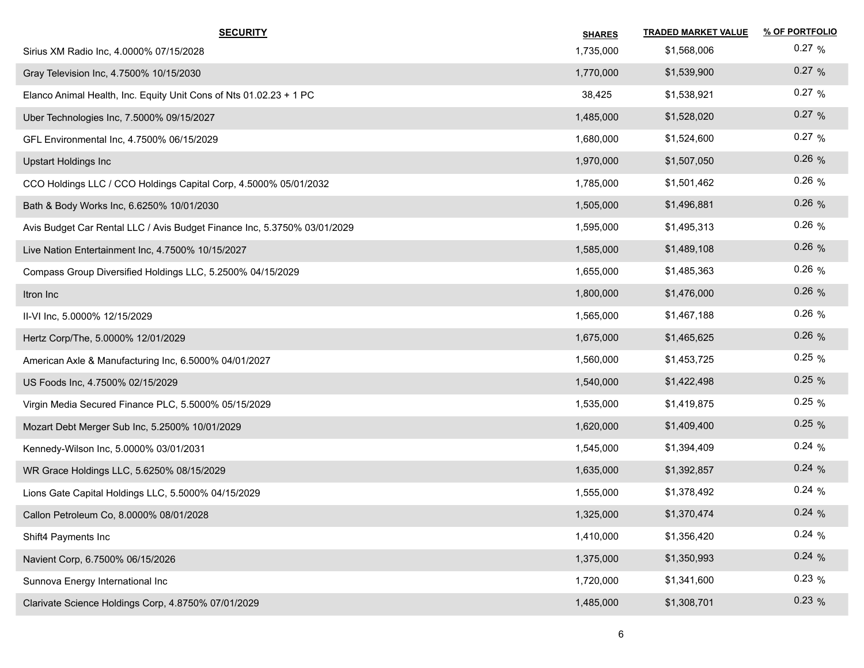| <b>SECURITY</b>                                                          | <b>SHARES</b> | <b>TRADED MARKET VALUE</b> | % OF PORTFOLIO |
|--------------------------------------------------------------------------|---------------|----------------------------|----------------|
| Sirius XM Radio Inc, 4.0000% 07/15/2028                                  | 1,735,000     | \$1,568,006                | $0.27\%$       |
| Gray Television Inc, 4.7500% 10/15/2030                                  | 1,770,000     | \$1,539,900                | 0.27 %         |
| Elanco Animal Health, Inc. Equity Unit Cons of Nts 01.02.23 + 1 PC       | 38,425        | \$1,538,921                | 0.27 %         |
| Uber Technologies Inc, 7.5000% 09/15/2027                                | 1,485,000     | \$1,528,020                | 0.27 %         |
| GFL Environmental Inc, 4.7500% 06/15/2029                                | 1,680,000     | \$1,524,600                | 0.27 %         |
| <b>Upstart Holdings Inc</b>                                              | 1,970,000     | \$1,507,050                | 0.26%          |
| CCO Holdings LLC / CCO Holdings Capital Corp, 4.5000% 05/01/2032         | 1,785,000     | \$1,501,462                | $0.26\%$       |
| Bath & Body Works Inc, 6.6250% 10/01/2030                                | 1,505,000     | \$1,496,881                | 0.26%          |
| Avis Budget Car Rental LLC / Avis Budget Finance Inc, 5.3750% 03/01/2029 | 1,595,000     | \$1,495,313                | $0.26\%$       |
| Live Nation Entertainment Inc, 4.7500% 10/15/2027                        | 1,585,000     | \$1,489,108                | 0.26%          |
| Compass Group Diversified Holdings LLC, 5.2500% 04/15/2029               | 1,655,000     | \$1,485,363                | $0.26\%$       |
| Itron Inc                                                                | 1,800,000     | \$1,476,000                | 0.26%          |
| II-VI Inc, 5.0000% 12/15/2029                                            | 1,565,000     | \$1,467,188                | 0.26%          |
| Hertz Corp/The, 5.0000% 12/01/2029                                       | 1,675,000     | \$1,465,625                | $0.26\%$       |
| American Axle & Manufacturing Inc, 6.5000% 04/01/2027                    | 1,560,000     | \$1,453,725                | $0.25\%$       |
| US Foods Inc, 4.7500% 02/15/2029                                         | 1,540,000     | \$1,422,498                | 0.25%          |
| Virgin Media Secured Finance PLC, 5.5000% 05/15/2029                     | 1,535,000     | \$1,419,875                | $0.25\%$       |
| Mozart Debt Merger Sub Inc, 5.2500% 10/01/2029                           | 1,620,000     | \$1,409,400                | 0.25%          |
| Kennedy-Wilson Inc, 5.0000% 03/01/2031                                   | 1,545,000     | \$1,394,409                | 0.24%          |
| WR Grace Holdings LLC, 5.6250% 08/15/2029                                | 1,635,000     | \$1,392,857                | 0.24%          |
| Lions Gate Capital Holdings LLC, 5.5000% 04/15/2029                      | 1,555,000     | \$1,378,492                | 0.24%          |
| Callon Petroleum Co, 8.0000% 08/01/2028                                  | 1,325,000     | \$1,370,474                | 0.24%          |
| Shift4 Payments Inc                                                      | 1,410,000     | \$1,356,420                | 0.24%          |
| Navient Corp, 6.7500% 06/15/2026                                         | 1,375,000     | \$1,350,993                | 0.24%          |
| Sunnova Energy International Inc                                         | 1,720,000     | \$1,341,600                | 0.23%          |
| Clarivate Science Holdings Corp, 4.8750% 07/01/2029                      | 1,485,000     | \$1,308,701                | 0.23%          |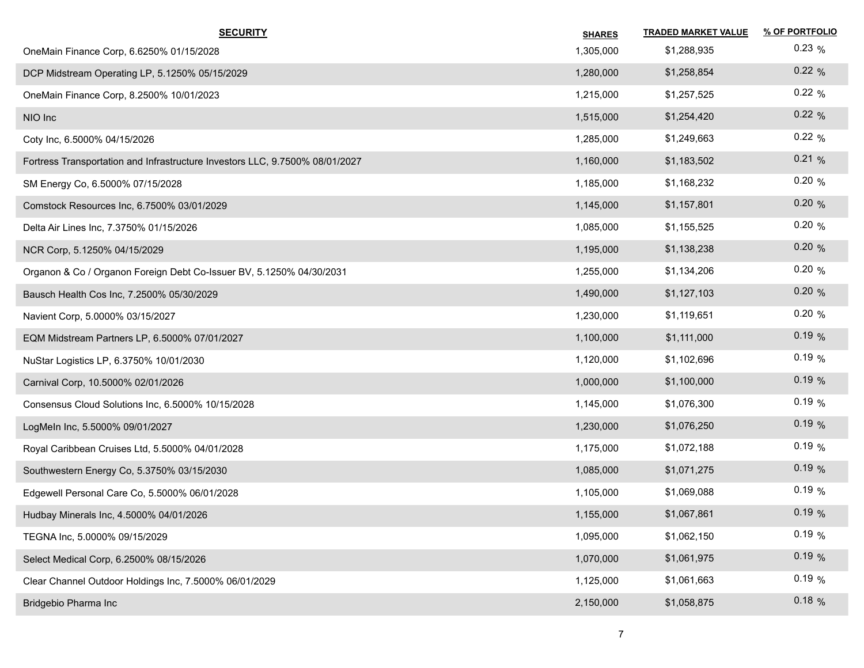| <b>SECURITY</b>                                                              | <b>SHARES</b> | <b>TRADED MARKET VALUE</b> | % OF PORTFOLIO |
|------------------------------------------------------------------------------|---------------|----------------------------|----------------|
| OneMain Finance Corp, 6.6250% 01/15/2028                                     | 1,305,000     | \$1,288,935                | $0.23\%$       |
| DCP Midstream Operating LP, 5.1250% 05/15/2029                               | 1,280,000     | \$1,258,854                | 0.22%          |
| OneMain Finance Corp, 8.2500% 10/01/2023                                     | 1,215,000     | \$1,257,525                | 0.22%          |
| NIO Inc                                                                      | 1,515,000     | \$1,254,420                | 0.22%          |
| Coty Inc, 6.5000% 04/15/2026                                                 | 1,285,000     | \$1,249,663                | 0.22%          |
| Fortress Transportation and Infrastructure Investors LLC, 9.7500% 08/01/2027 | 1,160,000     | \$1,183,502                | 0.21%          |
| SM Energy Co, 6.5000% 07/15/2028                                             | 1,185,000     | \$1,168,232                | 0.20%          |
| Comstock Resources Inc, 6.7500% 03/01/2029                                   | 1,145,000     | \$1,157,801                | 0.20%          |
| Delta Air Lines Inc, 7.3750% 01/15/2026                                      | 1,085,000     | \$1,155,525                | 0.20%          |
| NCR Corp, 5.1250% 04/15/2029                                                 | 1,195,000     | \$1,138,238                | 0.20%          |
| Organon & Co / Organon Foreign Debt Co-Issuer BV, 5.1250% 04/30/2031         | 1,255,000     | \$1,134,206                | 0.20%          |
| Bausch Health Cos Inc, 7.2500% 05/30/2029                                    | 1,490,000     | \$1,127,103                | 0.20%          |
| Navient Corp, 5.0000% 03/15/2027                                             | 1,230,000     | \$1,119,651                | 0.20%          |
| EQM Midstream Partners LP, 6.5000% 07/01/2027                                | 1,100,000     | \$1,111,000                | 0.19%          |
| NuStar Logistics LP, 6.3750% 10/01/2030                                      | 1,120,000     | \$1,102,696                | 0.19%          |
| Carnival Corp, 10.5000% 02/01/2026                                           | 1,000,000     | \$1,100,000                | 0.19%          |
| Consensus Cloud Solutions Inc, 6.5000% 10/15/2028                            | 1,145,000     | \$1,076,300                | 0.19%          |
| LogMeIn Inc, 5.5000% 09/01/2027                                              | 1,230,000     | \$1,076,250                | 0.19%          |
| Royal Caribbean Cruises Ltd, 5.5000% 04/01/2028                              | 1,175,000     | \$1,072,188                | 0.19%          |
| Southwestern Energy Co, 5.3750% 03/15/2030                                   | 1,085,000     | \$1,071,275                | 0.19%          |
| Edgewell Personal Care Co, 5.5000% 06/01/2028                                | 1,105,000     | \$1,069,088                | 0.19%          |
| Hudbay Minerals Inc, 4.5000% 04/01/2026                                      | 1,155,000     | \$1,067,861                | 0.19%          |
| TEGNA Inc, 5.0000% 09/15/2029                                                | 1,095,000     | \$1,062,150                | 0.19%          |
| Select Medical Corp, 6.2500% 08/15/2026                                      | 1,070,000     | \$1,061,975                | 0.19%          |
| Clear Channel Outdoor Holdings Inc, 7.5000% 06/01/2029                       | 1,125,000     | \$1,061,663                | 0.19%          |
| Bridgebio Pharma Inc                                                         | 2,150,000     | \$1,058,875                | 0.18%          |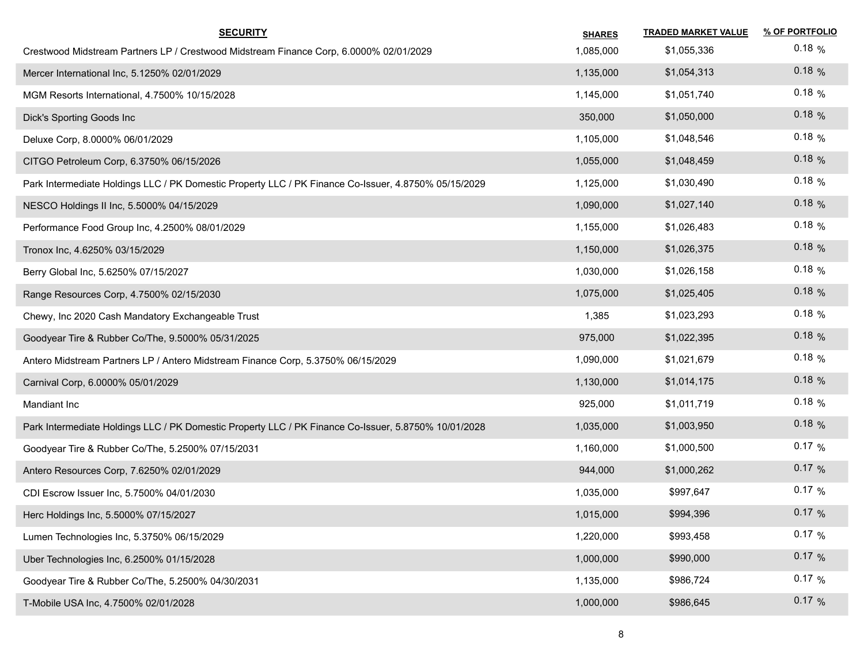| <b>SECURITY</b>                                                                                      | <b>SHARES</b> | <b>TRADED MARKET VALUE</b> | % OF PORTFOLIO |
|------------------------------------------------------------------------------------------------------|---------------|----------------------------|----------------|
| Crestwood Midstream Partners LP / Crestwood Midstream Finance Corp, 6.0000% 02/01/2029               | 1,085,000     | \$1,055,336                | $0.18\%$       |
| Mercer International Inc, 5.1250% 02/01/2029                                                         | 1,135,000     | \$1,054,313                | $0.18\%$       |
| MGM Resorts International, 4.7500% 10/15/2028                                                        | 1,145,000     | \$1,051,740                | $0.18\%$       |
| Dick's Sporting Goods Inc                                                                            | 350,000       | \$1,050,000                | 0.18%          |
| Deluxe Corp, 8.0000% 06/01/2029                                                                      | 1,105,000     | \$1,048,546                | $0.18\%$       |
| CITGO Petroleum Corp, 6.3750% 06/15/2026                                                             | 1,055,000     | \$1,048,459                | 0.18%          |
| Park Intermediate Holdings LLC / PK Domestic Property LLC / PK Finance Co-Issuer, 4.8750% 05/15/2029 | 1,125,000     | \$1,030,490                | $0.18\%$       |
| NESCO Holdings II Inc, 5.5000% 04/15/2029                                                            | 1,090,000     | \$1,027,140                | 0.18%          |
| Performance Food Group Inc, 4.2500% 08/01/2029                                                       | 1,155,000     | \$1,026,483                | $0.18\%$       |
| Tronox Inc, 4.6250% 03/15/2029                                                                       | 1,150,000     | \$1,026,375                | 0.18%          |
| Berry Global Inc, 5.6250% 07/15/2027                                                                 | 1,030,000     | \$1,026,158                | $0.18\%$       |
| Range Resources Corp, 4.7500% 02/15/2030                                                             | 1,075,000     | \$1,025,405                | 0.18%          |
| Chewy, Inc 2020 Cash Mandatory Exchangeable Trust                                                    | 1,385         | \$1,023,293                | $0.18\%$       |
| Goodyear Tire & Rubber Co/The, 9.5000% 05/31/2025                                                    | 975,000       | \$1,022,395                | 0.18%          |
| Antero Midstream Partners LP / Antero Midstream Finance Corp, 5.3750% 06/15/2029                     | 1,090,000     | \$1,021,679                | $0.18\%$       |
| Carnival Corp, 6.0000% 05/01/2029                                                                    | 1,130,000     | \$1,014,175                | 0.18%          |
| Mandiant Inc                                                                                         | 925,000       | \$1,011,719                | $0.18\%$       |
| Park Intermediate Holdings LLC / PK Domestic Property LLC / PK Finance Co-Issuer, 5.8750% 10/01/2028 | 1,035,000     | \$1,003,950                | 0.18%          |
| Goodyear Tire & Rubber Co/The, 5.2500% 07/15/2031                                                    | 1,160,000     | \$1,000,500                | $0.17\%$       |
| Antero Resources Corp, 7.6250% 02/01/2029                                                            | 944,000       | \$1,000,262                | 0.17 %         |
| CDI Escrow Issuer Inc, 5.7500% 04/01/2030                                                            | 1,035,000     | \$997,647                  | $0.17\%$       |
| Herc Holdings Inc, 5.5000% 07/15/2027                                                                | 1,015,000     | \$994,396                  | 0.17%          |
| Lumen Technologies Inc, 5.3750% 06/15/2029                                                           | 1,220,000     | \$993,458                  | 0.17%          |
| Uber Technologies Inc, 6.2500% 01/15/2028                                                            | 1,000,000     | \$990,000                  | 0.17 %         |
| Goodyear Tire & Rubber Co/The, 5.2500% 04/30/2031                                                    | 1,135,000     | \$986,724                  | 0.17%          |
| T-Mobile USA Inc, 4.7500% 02/01/2028                                                                 | 1,000,000     | \$986,645                  | 0.17%          |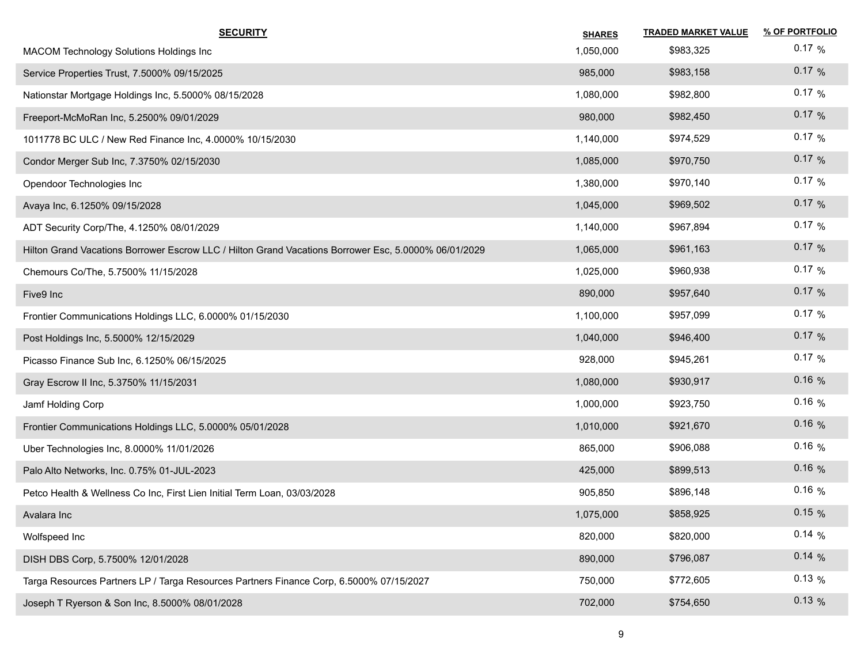| <b>SECURITY</b>                                                                                      | <b>SHARES</b> | <b>TRADED MARKET VALUE</b> | % OF PORTFOLIO |
|------------------------------------------------------------------------------------------------------|---------------|----------------------------|----------------|
| MACOM Technology Solutions Holdings Inc                                                              | 1,050,000     | \$983,325                  | $0.17\%$       |
| Service Properties Trust, 7.5000% 09/15/2025                                                         | 985,000       | \$983,158                  | 0.17%          |
| Nationstar Mortgage Holdings Inc, 5.5000% 08/15/2028                                                 | 1,080,000     | \$982,800                  | $0.17 \%$      |
| Freeport-McMoRan Inc, 5.2500% 09/01/2029                                                             | 980,000       | \$982,450                  | 0.17%          |
| 1011778 BC ULC / New Red Finance Inc, 4.0000% 10/15/2030                                             | 1,140,000     | \$974,529                  | $0.17\%$       |
| Condor Merger Sub Inc, 7.3750% 02/15/2030                                                            | 1,085,000     | \$970,750                  | 0.17%          |
| Opendoor Technologies Inc                                                                            | 1,380,000     | \$970,140                  | $0.17\%$       |
| Avaya Inc, 6.1250% 09/15/2028                                                                        | 1,045,000     | \$969,502                  | 0.17%          |
| ADT Security Corp/The, 4.1250% 08/01/2029                                                            | 1,140,000     | \$967,894                  | $0.17\%$       |
| Hilton Grand Vacations Borrower Escrow LLC / Hilton Grand Vacations Borrower Esc, 5.0000% 06/01/2029 | 1,065,000     | \$961,163                  | 0.17%          |
| Chemours Co/The, 5.7500% 11/15/2028                                                                  | 1,025,000     | \$960,938                  | $0.17\%$       |
| Five9 Inc                                                                                            | 890,000       | \$957,640                  | 0.17%          |
| Frontier Communications Holdings LLC, 6.0000% 01/15/2030                                             | 1,100,000     | \$957,099                  | 0.17 %         |
| Post Holdings Inc, 5.5000% 12/15/2029                                                                | 1,040,000     | \$946,400                  | 0.17%          |
| Picasso Finance Sub Inc, 6.1250% 06/15/2025                                                          | 928,000       | \$945,261                  | 0.17%          |
| Gray Escrow II Inc, 5.3750% 11/15/2031                                                               | 1,080,000     | \$930,917                  | $0.16\%$       |
| Jamf Holding Corp                                                                                    | 1,000,000     | \$923,750                  | $0.16\%$       |
| Frontier Communications Holdings LLC, 5.0000% 05/01/2028                                             | 1,010,000     | \$921,670                  | 0.16%          |
| Uber Technologies Inc, 8.0000% 11/01/2026                                                            | 865,000       | \$906,088                  | $0.16\%$       |
| Palo Alto Networks, Inc. 0.75% 01-JUL-2023                                                           | 425,000       | \$899,513                  | $0.16\%$       |
| Petco Health & Wellness Co Inc, First Lien Initial Term Loan, 03/03/2028                             | 905,850       | \$896,148                  | $0.16\%$       |
| Avalara Inc                                                                                          | 1,075,000     | \$858,925                  | 0.15%          |
| Wolfspeed Inc                                                                                        | 820,000       | \$820,000                  | $0.14\%$       |
| DISH DBS Corp, 5.7500% 12/01/2028                                                                    | 890,000       | \$796,087                  | 0.14%          |
| Targa Resources Partners LP / Targa Resources Partners Finance Corp, 6.5000% 07/15/2027              | 750,000       | \$772,605                  | $0.13\%$       |
| Joseph T Ryerson & Son Inc, 8.5000% 08/01/2028                                                       | 702,000       | \$754,650                  | 0.13%          |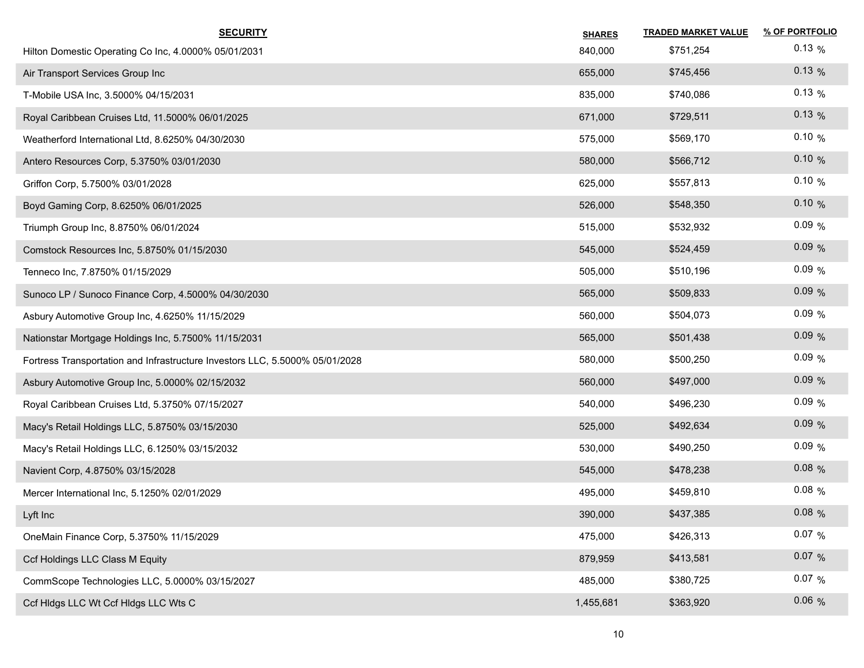| <b>SECURITY</b>                                                              | <b>SHARES</b> | <b>TRADED MARKET VALUE</b> | % OF PORTFOLIO |
|------------------------------------------------------------------------------|---------------|----------------------------|----------------|
| Hilton Domestic Operating Co Inc, 4.0000% 05/01/2031                         | 840,000       | \$751,254                  | $0.13\%$       |
| Air Transport Services Group Inc                                             | 655,000       | \$745,456                  | $0.13\%$       |
| T-Mobile USA Inc, 3.5000% 04/15/2031                                         | 835,000       | \$740,086                  | $0.13\%$       |
| Royal Caribbean Cruises Ltd, 11.5000% 06/01/2025                             | 671,000       | \$729,511                  | $0.13\%$       |
| Weatherford International Ltd, 8.6250% 04/30/2030                            | 575,000       | \$569,170                  | 0.10%          |
| Antero Resources Corp, 5.3750% 03/01/2030                                    | 580,000       | \$566,712                  | 0.10%          |
| Griffon Corp, 5.7500% 03/01/2028                                             | 625,000       | \$557,813                  | 0.10%          |
| Boyd Gaming Corp, 8.6250% 06/01/2025                                         | 526,000       | \$548,350                  | 0.10%          |
| Triumph Group Inc, 8.8750% 06/01/2024                                        | 515,000       | \$532,932                  | 0.09%          |
| Comstock Resources Inc, 5.8750% 01/15/2030                                   | 545,000       | \$524,459                  | 0.09%          |
| Tenneco Inc, 7.8750% 01/15/2029                                              | 505,000       | \$510,196                  | 0.09%          |
| Sunoco LP / Sunoco Finance Corp, 4.5000% 04/30/2030                          | 565,000       | \$509,833                  | 0.09%          |
| Asbury Automotive Group Inc, 4.6250% 11/15/2029                              | 560,000       | \$504,073                  | 0.09%          |
| Nationstar Mortgage Holdings Inc, 5.7500% 11/15/2031                         | 565,000       | \$501,438                  | 0.09%          |
| Fortress Transportation and Infrastructure Investors LLC, 5.5000% 05/01/2028 | 580,000       | \$500,250                  | 0.09%          |
| Asbury Automotive Group Inc, 5.0000% 02/15/2032                              | 560,000       | \$497,000                  | 0.09%          |
| Royal Caribbean Cruises Ltd, 5.3750% 07/15/2027                              | 540,000       | \$496,230                  | 0.09%          |
| Macy's Retail Holdings LLC, 5.8750% 03/15/2030                               | 525,000       | \$492,634                  | 0.09%          |
| Macy's Retail Holdings LLC, 6.1250% 03/15/2032                               | 530,000       | \$490,250                  | 0.09%          |
| Navient Corp, 4.8750% 03/15/2028                                             | 545,000       | \$478,238                  | $0.08\%$       |
| Mercer International Inc, 5.1250% 02/01/2029                                 | 495,000       | \$459,810                  | $0.08\%$       |
| Lyft Inc                                                                     | 390,000       | \$437,385                  | 0.08 %         |
| OneMain Finance Corp, 5.3750% 11/15/2029                                     | 475,000       | \$426,313                  | $0.07\%$       |
| Ccf Holdings LLC Class M Equity                                              | 879,959       | \$413,581                  | $0.07\%$       |
| CommScope Technologies LLC, 5.0000% 03/15/2027                               | 485,000       | \$380,725                  | $0.07\%$       |
| Ccf Hidgs LLC Wt Ccf Hidgs LLC Wts C                                         | 1,455,681     | \$363,920                  | 0.06%          |